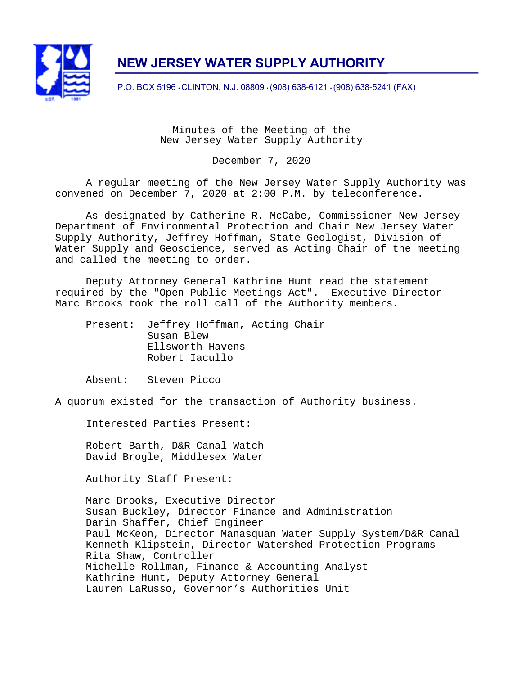

# **NEW JERSEY WATER SUPPLY AUTHORITY**

P.O. BOX 5196 • CLINTON, N.J. 08809 • (908) 638-6121 • (908) 638-5241 (FAX)

Minutes of the Meeting of the New Jersey Water Supply Authority

December 7, 2020

A regular meeting of the New Jersey Water Supply Authority was convened on December 7, 2020 at 2:00 P.M. by teleconference.

As designated by Catherine R. McCabe, Commissioner New Jersey Department of Environmental Protection and Chair New Jersey Water Supply Authority, Jeffrey Hoffman, State Geologist, Division of Water Supply and Geoscience, served as Acting Chair of the meeting and called the meeting to order.

Deputy Attorney General Kathrine Hunt read the statement required by the "Open Public Meetings Act". Executive Director Marc Brooks took the roll call of the Authority members.

 Present: Jeffrey Hoffman, Acting Chair Susan Blew Ellsworth Havens Robert Iacullo

Absent: Steven Picco

A quorum existed for the transaction of Authority business.

Interested Parties Present:

Robert Barth, D&R Canal Watch David Brogle, Middlesex Water

Authority Staff Present:

Marc Brooks, Executive Director Susan Buckley, Director Finance and Administration Darin Shaffer, Chief Engineer Paul McKeon, Director Manasquan Water Supply System/D&R Canal Kenneth Klipstein, Director Watershed Protection Programs Rita Shaw, Controller Michelle Rollman, Finance & Accounting Analyst Kathrine Hunt, Deputy Attorney General Lauren LaRusso, Governor's Authorities Unit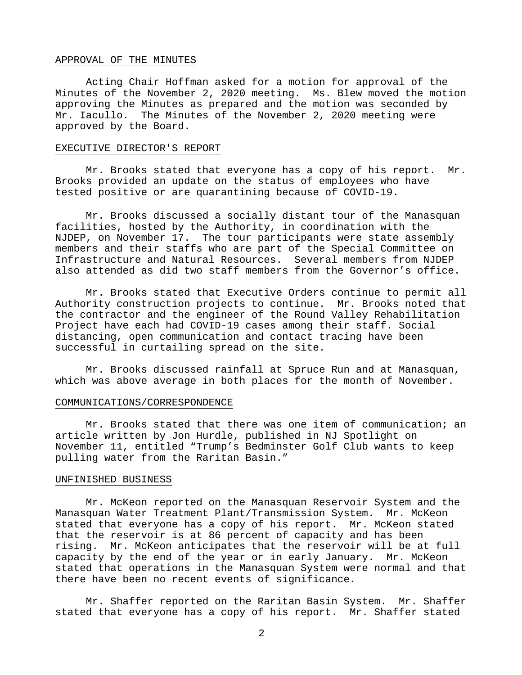# APPROVAL OF THE MINUTES

Acting Chair Hoffman asked for a motion for approval of the Minutes of the November 2, 2020 meeting. Ms. Blew moved the motion approving the Minutes as prepared and the motion was seconded by Mr. Iacullo. The Minutes of the November 2, 2020 meeting were approved by the Board.

#### EXECUTIVE DIRECTOR'S REPORT

 Mr. Brooks stated that everyone has a copy of his report. Mr. Brooks provided an update on the status of employees who have tested positive or are quarantining because of COVID-19.

Mr. Brooks discussed a socially distant tour of the Manasquan facilities, hosted by the Authority, in coordination with the NJDEP, on November 17. The tour participants were state assembly members and their staffs who are part of the Special Committee on Infrastructure and Natural Resources. Several members from NJDEP also attended as did two staff members from the Governor's office.

Mr. Brooks stated that Executive Orders continue to permit all Authority construction projects to continue. Mr. Brooks noted that the contractor and the engineer of the Round Valley Rehabilitation Project have each had COVID-19 cases among their staff. Social distancing, open communication and contact tracing have been successful in curtailing spread on the site.

Mr. Brooks discussed rainfall at Spruce Run and at Manasquan, which was above average in both places for the month of November.

#### COMMUNICATIONS/CORRESPONDENCE

Mr. Brooks stated that there was one item of communication; an article written by Jon Hurdle, published in NJ Spotlight on November 11, entitled "Trump's Bedminster Golf Club wants to keep pulling water from the Raritan Basin."

# UNFINISHED BUSINESS

Mr. McKeon reported on the Manasquan Reservoir System and the Manasquan Water Treatment Plant/Transmission System. Mr. McKeon stated that everyone has a copy of his report. Mr. McKeon stated that the reservoir is at 86 percent of capacity and has been rising. Mr. McKeon anticipates that the reservoir will be at full capacity by the end of the year or in early January. Mr. McKeon stated that operations in the Manasquan System were normal and that there have been no recent events of significance.

Mr. Shaffer reported on the Raritan Basin System. Mr. Shaffer stated that everyone has a copy of his report. Mr. Shaffer stated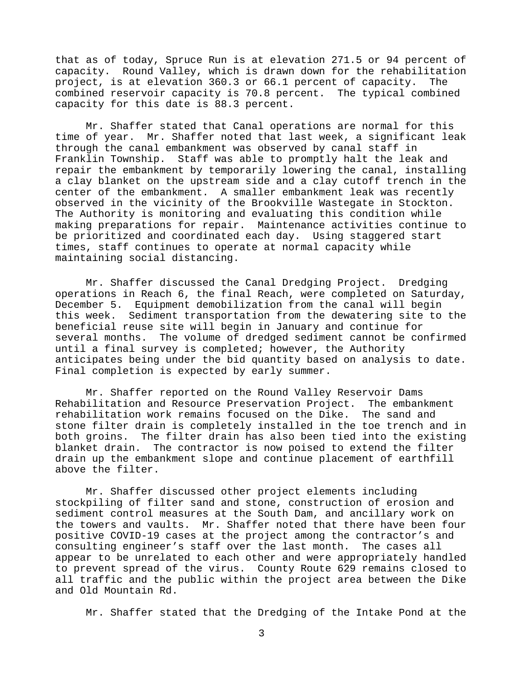that as of today, Spruce Run is at elevation 271.5 or 94 percent of capacity. Round Valley, which is drawn down for the rehabilitation project, is at elevation 360.3 or 66.1 percent of capacity. The combined reservoir capacity is 70.8 percent. The typical combined capacity for this date is 88.3 percent.

Mr. Shaffer stated that Canal operations are normal for this time of year. Mr. Shaffer noted that last week, a significant leak through the canal embankment was observed by canal staff in Franklin Township. Staff was able to promptly halt the leak and repair the embankment by temporarily lowering the canal, installing a clay blanket on the upstream side and a clay cutoff trench in the center of the embankment. A smaller embankment leak was recently observed in the vicinity of the Brookville Wastegate in Stockton. The Authority is monitoring and evaluating this condition while making preparations for repair. Maintenance activities continue to be prioritized and coordinated each day. Using staggered start times, staff continues to operate at normal capacity while maintaining social distancing.

Mr. Shaffer discussed the Canal Dredging Project. Dredging operations in Reach 6, the final Reach, were completed on Saturday, December 5. Equipment demobilization from the canal will begin this week. Sediment transportation from the dewatering site to the beneficial reuse site will begin in January and continue for several months. The volume of dredged sediment cannot be confirmed until a final survey is completed; however, the Authority anticipates being under the bid quantity based on analysis to date. Final completion is expected by early summer.

Mr. Shaffer reported on the Round Valley Reservoir Dams Rehabilitation and Resource Preservation Project. The embankment rehabilitation work remains focused on the Dike. The sand and stone filter drain is completely installed in the toe trench and in both groins. The filter drain has also been tied into the existing blanket drain. The contractor is now poised to extend the filter drain up the embankment slope and continue placement of earthfill above the filter.

Mr. Shaffer discussed other project elements including stockpiling of filter sand and stone, construction of erosion and sediment control measures at the South Dam, and ancillary work on the towers and vaults. Mr. Shaffer noted that there have been four positive COVID-19 cases at the project among the contractor's and consulting engineer's staff over the last month. The cases all appear to be unrelated to each other and were appropriately handled to prevent spread of the virus. County Route 629 remains closed to all traffic and the public within the project area between the Dike and Old Mountain Rd.

Mr. Shaffer stated that the Dredging of the Intake Pond at the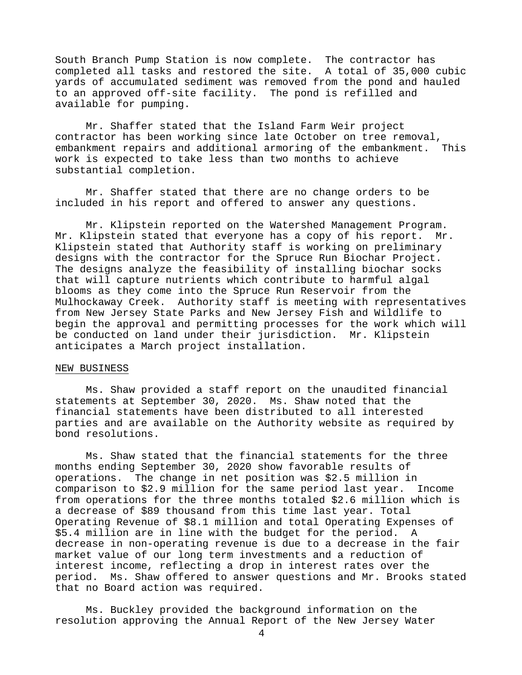South Branch Pump Station is now complete. The contractor has completed all tasks and restored the site. A total of 35,000 cubic yards of accumulated sediment was removed from the pond and hauled to an approved off-site facility. The pond is refilled and available for pumping.

Mr. Shaffer stated that the Island Farm Weir project contractor has been working since late October on tree removal, embankment repairs and additional armoring of the embankment. This work is expected to take less than two months to achieve substantial completion.

Mr. Shaffer stated that there are no change orders to be included in his report and offered to answer any questions.

Mr. Klipstein reported on the Watershed Management Program. Mr. Klipstein stated that everyone has a copy of his report. Mr. Klipstein stated that Authority staff is working on preliminary designs with the contractor for the Spruce Run Biochar Project. The designs analyze the feasibility of installing biochar socks that will capture nutrients which contribute to harmful algal blooms as they come into the Spruce Run Reservoir from the Mulhockaway Creek. Authority staff is meeting with representatives from New Jersey State Parks and New Jersey Fish and Wildlife to begin the approval and permitting processes for the work which will be conducted on land under their jurisdiction. Mr. Klipstein anticipates a March project installation.

# NEW BUSINESS

Ms. Shaw provided a staff report on the unaudited financial statements at September 30, 2020. Ms. Shaw noted that the financial statements have been distributed to all interested parties and are available on the Authority website as required by bond resolutions.

Ms. Shaw stated that the financial statements for the three months ending September 30, 2020 show favorable results of operations. The change in net position was \$2.5 million in comparison to \$2.9 million for the same period last year. Income from operations for the three months totaled \$2.6 million which is a decrease of \$89 thousand from this time last year. Total Operating Revenue of \$8.1 million and total Operating Expenses of \$5.4 million are in line with the budget for the period. A decrease in non-operating revenue is due to a decrease in the fair market value of our long term investments and a reduction of interest income, reflecting a drop in interest rates over the period. Ms. Shaw offered to answer questions and Mr. Brooks stated that no Board action was required.

Ms. Buckley provided the background information on the resolution approving the Annual Report of the New Jersey Water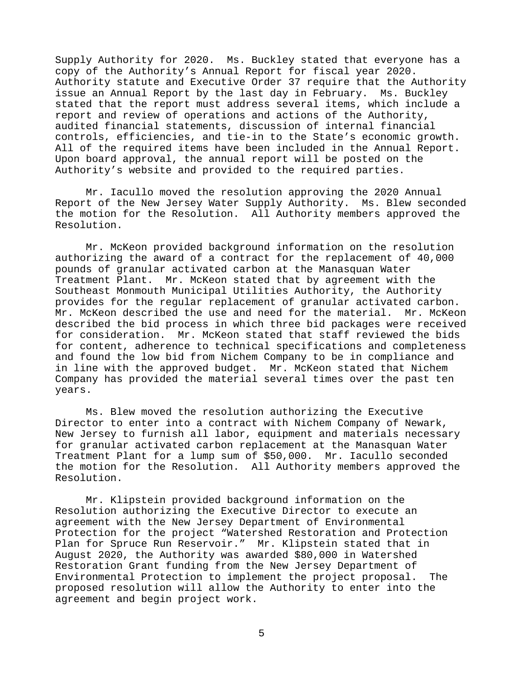Supply Authority for 2020. Ms. Buckley stated that everyone has a copy of the Authority's Annual Report for fiscal year 2020. Authority statute and Executive Order 37 require that the Authority issue an Annual Report by the last day in February. Ms. Buckley stated that the report must address several items, which include a report and review of operations and actions of the Authority, audited financial statements, discussion of internal financial controls, efficiencies, and tie-in to the State's economic growth. All of the required items have been included in the Annual Report. Upon board approval, the annual report will be posted on the Authority's website and provided to the required parties.

Mr. Iacullo moved the resolution approving the 2020 Annual Report of the New Jersey Water Supply Authority. Ms. Blew seconded the motion for the Resolution. All Authority members approved the Resolution.

Mr. McKeon provided background information on the resolution authorizing the award of a contract for the replacement of 40,000 pounds of granular activated carbon at the Manasquan Water Treatment Plant. Mr. McKeon stated that by agreement with the Southeast Monmouth Municipal Utilities Authority, the Authority provides for the regular replacement of granular activated carbon. Mr. McKeon described the use and need for the material. Mr. McKeon described the bid process in which three bid packages were received for consideration. Mr. McKeon stated that staff reviewed the bids for content, adherence to technical specifications and completeness and found the low bid from Nichem Company to be in compliance and in line with the approved budget. Mr. McKeon stated that Nichem Company has provided the material several times over the past ten years.

Ms. Blew moved the resolution authorizing the Executive Director to enter into a contract with Nichem Company of Newark, New Jersey to furnish all labor, equipment and materials necessary for granular activated carbon replacement at the Manasquan Water Treatment Plant for a lump sum of \$50,000. Mr. Iacullo seconded the motion for the Resolution. All Authority members approved the Resolution.

Mr. Klipstein provided background information on the Resolution authorizing the Executive Director to execute an agreement with the New Jersey Department of Environmental Protection for the project "Watershed Restoration and Protection Plan for Spruce Run Reservoir." Mr. Klipstein stated that in August 2020, the Authority was awarded \$80,000 in Watershed Restoration Grant funding from the New Jersey Department of Environmental Protection to implement the project proposal. The proposed resolution will allow the Authority to enter into the agreement and begin project work.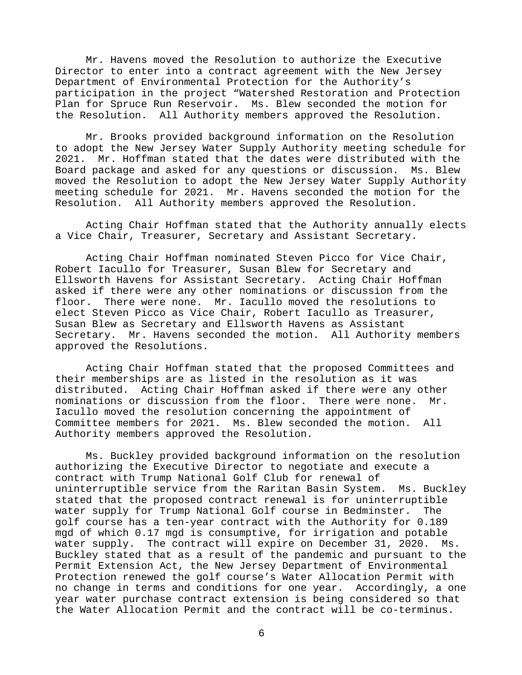Mr. Havens moved the Resolution to authorize the Executive Director to enter into a contract agreement with the New Jersey Department of Environmental Protection for the Authority's participation in the project "Watershed Restoration and Protection Plan for Spruce Run Reservoir. Ms. Blew seconded the motion for the Resolution. All Authority members approved the Resolution.

Mr. Brooks provided background information on the Resolution to adopt the New Jersey Water Supply Authority meeting schedule for 2021. Mr. Hoffman stated that the dates were distributed with the Board package and asked for any questions or discussion. Ms. Blew moved the Resolution to adopt the New Jersey Water Supply Authority meeting schedule for 2021. Mr. Havens seconded the motion for the Resolution. All Authority members approved the Resolution.

Acting Chair Hoffman stated that the Authority annually elects a Vice Chair, Treasurer, Secretary and Assistant Secretary.

Acting Chair Hoffman nominated Steven Picco for Vice Chair, Robert Iacullo for Treasurer, Susan Blew for Secretary and Ellsworth Havens for Assistant Secretary. Acting Chair Hoffman asked if there were any other nominations or discussion from the floor. There were none. Mr. Iacullo moved the resolutions to elect Steven Picco as Vice Chair, Robert Iacullo as Treasurer, Susan Blew as Secretary and Ellsworth Havens as Assistant Secretary. Mr. Havens seconded the motion. All Authority members approved the Resolutions.

Acting Chair Hoffman stated that the proposed Committees and their memberships are as listed in the resolution as it was distributed. Acting Chair Hoffman asked if there were any other nominations or discussion from the floor. There were none. Mr. Iacullo moved the resolution concerning the appointment of Committee members for 2021. Ms. Blew seconded the motion. All Authority members approved the Resolution.

Ms. Buckley provided background information on the resolution authorizing the Executive Director to negotiate and execute a contract with Trump National Golf Club for renewal of uninterruptible service from the Raritan Basin System. Ms. Buckley stated that the proposed contract renewal is for uninterruptible water supply for Trump National Golf course in Bedminster. The golf course has a ten-year contract with the Authority for 0.189 mgd of which 0.17 mgd is consumptive, for irrigation and potable water supply. The contract will expire on December 31, 2020. Ms. Buckley stated that as a result of the pandemic and pursuant to the Permit Extension Act, the New Jersey Department of Environmental Protection renewed the golf course's Water Allocation Permit with no change in terms and conditions for one year. Accordingly, a one year water purchase contract extension is being considered so that the Water Allocation Permit and the contract will be co-terminus.